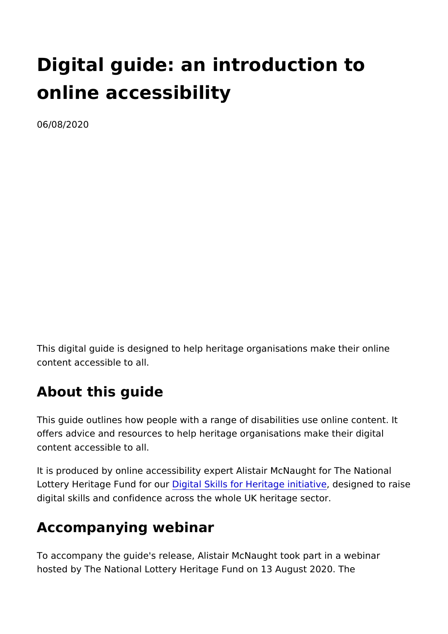# Digital guide: an introduction to online accessibility

06/08/2020

This digital guide is designed to help heritage organisations ma content accessible to all.

# About this guide

This guide outlines how people with a range of disabilities use offers advice and resources to help heritage organisations make content accessible to all.

It is produced by online accessibility expert Alistair McNaught Lottery Heritage FundDifigint and Bkills for Heritage diensitigantei deto raise digital skills and confidence across the whole UK heritage secte

# Accompanying webinar

To accompany the guide's release, Alistair McNaught took part hosted by The National Lottery Heritage Fund on 13 August 202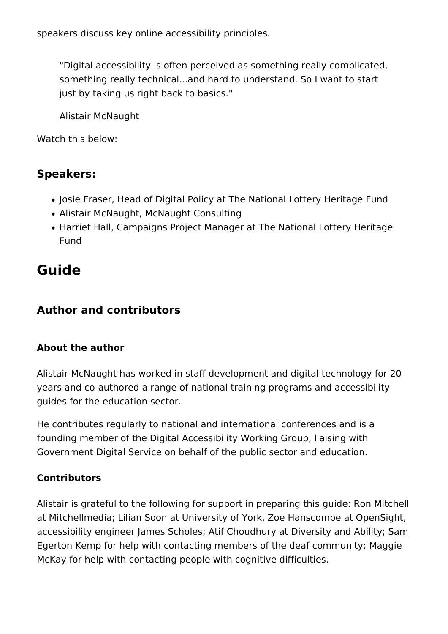speakers discuss key online accessibility principles.

"Digital accessibility is often perceived as something really complicated, something really technical...and hard to understand. So I want to start just by taking us right back to basics."

Alistair McNaught

Watch this below:

### **Speakers:**

- Josie Fraser, Head of Digital Policy at The National Lottery Heritage Fund
- Alistair McNaught, McNaught Consulting
- Harriet Hall, Campaigns Project Manager at The National Lottery Heritage Fund

# **Guide**

### **Author and contributors**

#### **About the author**

Alistair McNaught has worked in staff development and digital technology for 20 years and co-authored a range of national training programs and accessibility guides for the education sector.

He contributes regularly to national and international conferences and is a founding member of the Digital Accessibility Working Group, liaising with Government Digital Service on behalf of the public sector and education.

#### **Contributors**

Alistair is grateful to the following for support in preparing this guide: Ron Mitchell at Mitchellmedia; Lilian Soon at University of York, Zoe Hanscombe at OpenSight, accessibility engineer James Scholes; Atif Choudhury at Diversity and Ability; Sam Egerton Kemp for help with contacting members of the deaf community; Maggie McKay for help with contacting people with cognitive difficulties.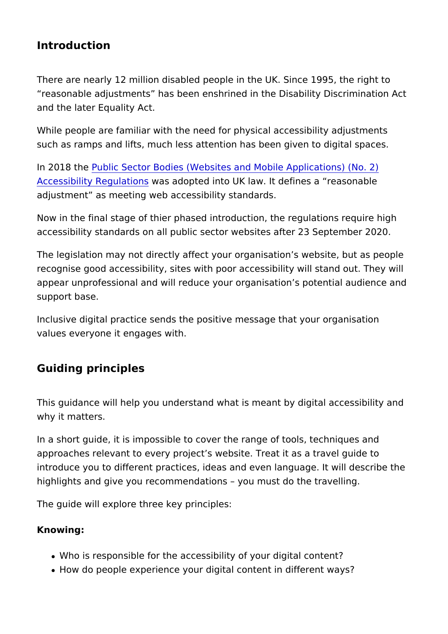Introduction

There are nearly 12 million disabled people in the UK. Since 19 reasonable adjustments has been enshrined in the Disability D and the later Equality Act.

While people are familiar with the need for physical accessibili such as ramps and lifts, much less attention has been given to

In 2018 the blic Sector Bodies (Websites and Mobile Applications [Accessibility Reg](http://www.legislation.gov.uk/uksi/2018/952/made)uwaats oandsopted into UK law. It defines a reason adjustment as meeting web accessibility standards.

Now in the final stage of thier phased introduction, the regulati accessibility standards on all public sector websites after 23 S

The legislation may not directly affect your organisation s webs recognise good accessibility, sites with poor accessibility will stand out. appear unprofessional and will reduce your organisation s potential and and and and approar support base.

Inclusive digital practice sends the positive message that your values everyone it engages with.

Guiding principles

This guidance will help you understand what is meant by digital why it matters.

In a short guide, it is impossible to cover the range of tools, te approaches relevant to every project s website. Treat it as a tr introduce you to different practices, ideas and even language. highlights and give you recommendations you must do the travelling.

The guide will explore three key principles:

Knowing:

- . Who is responsible for the accessibility of your digital content
- How do people experience your digital content in different w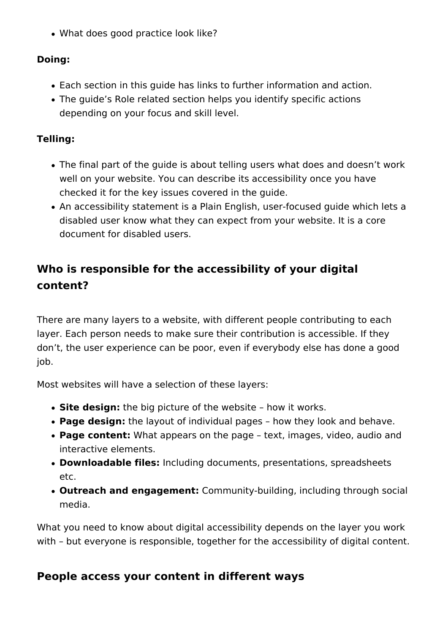What does good practice look like?

#### **Doing:**

- Each section in this guide has links to further information and action.
- The guide's Role related section helps you identify specific actions depending on your focus and skill level.

#### **Telling:**

- The final part of the guide is about telling users what does and doesn't work well on your website. You can describe its accessibility once you have checked it for the key issues covered in the guide.
- An accessibility statement is a Plain English, user-focused guide which lets a disabled user know what they can expect from your website. It is a core document for disabled users.

# **Who is responsible for the accessibility of your digital content?**

There are many layers to a website, with different people contributing to each layer. Each person needs to make sure their contribution is accessible. If they don't, the user experience can be poor, even if everybody else has done a good iob.

Most websites will have a selection of these layers:

- **Site design:** the big picture of the website how it works.
- **Page design:** the layout of individual pages how they look and behave.
- **Page content:** What appears on the page text, images, video, audio and interactive elements.
- **Downloadable files:** Including documents, presentations, spreadsheets etc.
- **Outreach and engagement:** Community-building, including through social media.

What you need to know about digital accessibility depends on the layer you work with – but everyone is responsible, together for the accessibility of digital content.

# **People access your content in different ways**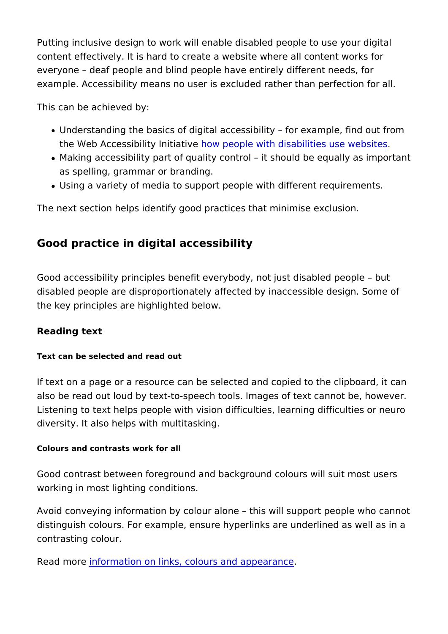Putting inclusive design to work will enable disabled people to content effectively. It is hard to create a website where all con everyone deaf people and blind people have entirely different example. Accessibility means no user is excluded rather than p

This can be achieved by:

- Understanding the basics of digital accessibility for examp the Web Accessibility how iption ple with disabilities use websites
- Making accessibility part of quality control it should be eq as spelling, grammar or branding.
- Using a variety of media to support people with different require

The next section helps identify good practices that minimise ex

Good practice in digital accessibility

Good accessibility principles benefit everybody, not just disabl disabled people are disproportionately affected by inaccessible the key principles are highlighted below.

Reading text

Text can be selected and read out

If text on a page or a resource can be selected and copied to the also be read out loud by text-to-speech tools. Images of text ca Listening to text helps people with vision difficulties, learning diversity. It also helps with multitasking.

Colours and contrasts work for all

Good contrast between foreground and background colours will working in most lighting conditions.

Avoid conveying information by colour alone this will support distinguish colours. For example, ensure hyperlinks are underli contrasting colour.

Read moirreformation on links, colours and appearance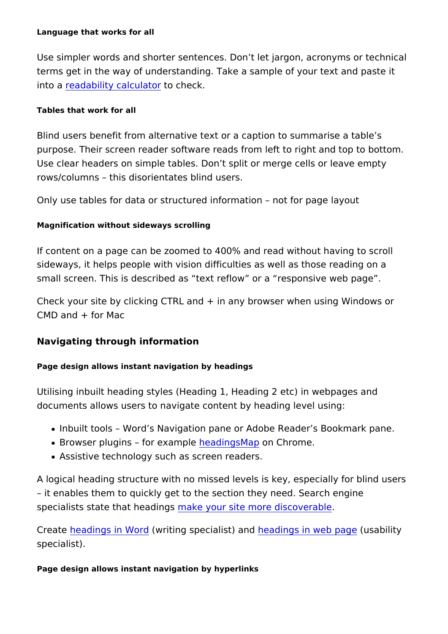Language that works for all

Use simpler words and shorter sentences. Don t let jargon, acro terms get in the way of understanding. Take a sample of your te into **peadability calcudacheck**.

Tables that work for all

Blind users benefit from alternative text or a caption to summar purpose. Their screen reader software reads from left to right a Use clear headers on simple tables. Don t split or merge cells or rows/columns this disorientates blind users.

Only use tables for data or structured information goot for page

Magnification without sideways scrolling

If content on a page can be zoomed to 400% and read without h sideways, it helps people with vision difficulties as well as those small screen. This is described as text reflow or a responsive

Check your site by clicking CTRL and + in any browser when us CMD and + for Mac

Navigating through information

Page design allows instant navigation by headings

Utilising inbuilt heading styles (Heading 1, Heading 2 etc) in w documents allows users to navigate content by heading level us

- Inbuilt tools Word s Navigation pane or Adobe Reader s Bookmark pane.
- Browser plugins for beaming head Map Chrome.
- Assistive technology such as screen readers.

A logical heading structure with no missed levels is key, especi it enables them to quickly get to the section they need. Searc specialists state that meake ingour site more discoverable

Creatheeadings in Worm diting specialiste) ad headings in web (pussgability specialist).

Page design allows instant navigation by hyperlinks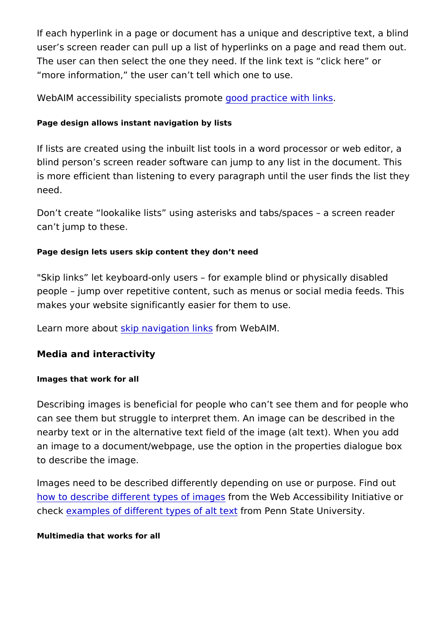If each hyperlink in a page or document has a unique and descr user s screen reader can pull up a list of hyperlinks on a page The user can then select the one they need. If the link text is more information, the user can t tell which one to use.

WebAIM accessibility specialists op pormanouties e with links

Page design allows instant navigation by lists

If lists are created using the inbuilt list tools in a word process blind person s screen reader software can jump to any list in the is more efficient than listening to every paragraph until the use need.

Don t create lookalike lists using asterisks and tabs/spaces can t jump to these.

Page design lets users skip content they don t need

"Skip links let keyboard-only users for example blind or phys people jump over repetitive content, such as menus or social makes your website significantly easier for them to use.

Learn more abbupt navigation from ts SW eb AIM.

Media and interactivity

Images that work for all

Describing images is beneficial for people who can t see them a can see them but struggle to interpret them. An image can be d nearby text or in the alternative text field of the image (alt text an image to a document/webpage, use the option in the properti to describe the image.

Images need to be described differently depending on use or pu [how to describe different type](https://www.w3.org/WAI/tutorials/images/) from ith ages and Accessibility Initiative or check xamples of different types foot mal Pennt State University.

Multimedia that works for all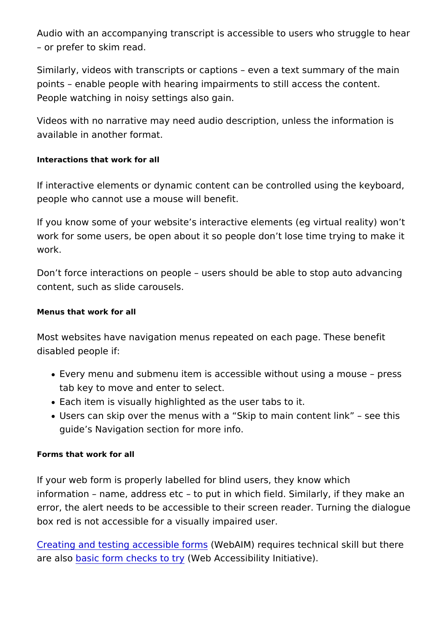Audio with an accompanying transcript is accessible to users w or prefer to skim read.

Similarly, videos with transcripts or captions even a text sumi points enable people with hearing impairments to still access People watching in noisy settings also gain.

Videos with no narrative may need audio description, unless the available in another format.

Interactions that work for all

If interactive elements or dynamic content can be controlled us people who cannot use a mouse will benefit.

If you know some of your website s interactive elements (eg vir work for some users, be open about it so people don t lose time work.

Don t force interactions on people users should be able to sto content, such as slide carousels.

Menus that work for all

Most websites have navigation menus repeated on each page. The disabled people if:

- Every menu and submenu item is accessible without using a tab key to move and enter to select.
- Each item is visually highlighted as the user tabs to it.
- Users can skip over the menus with a Skip to main content guide s Navigation section for more info.

Forms that work for all

If your web form is properly labelled for blind users, they know information name, address etc to put in which field. Similarl error, the alert needs to be accessible to their screen reader. T box red is not accessible for a visually impaired user.

[Creating and testing acces](https://webaim.org/techniques/forms/)s (iW leeb Ad Mm srequires technical skill but are also asic form checks (Web ty Accessibility Initiative).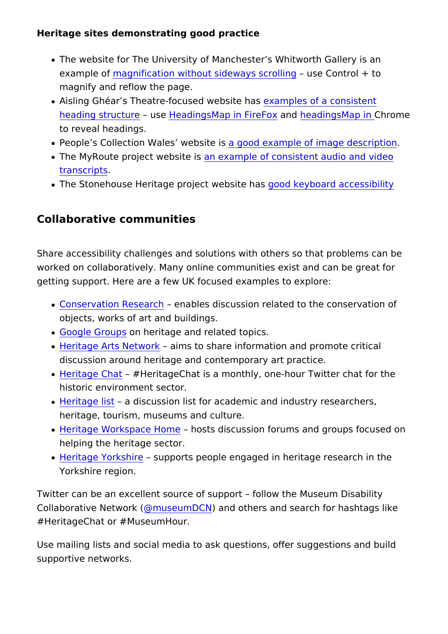Heritage sites demonstrating good practice

- . The website for The University of Manchester s Whitworth G example  $\omega$  agnification without sideway susser  $\omega$  bimigol + to magnify and reflow the page.
- Aisling Ghéar s Theatre-focusede weerbeles hoas a consistent [heading stru](https://www.aislingghear.com/pastproductions)cture  $H$  eadings Map in Farred  $\overline{h}$  eadings Map himome to reveal headings.
- . People s Collection Wales a wgeobosdite x as mple of image descript
- . The MyRoute project wabsite msple of consistent audio and vi [transcri](http://myroute.org.uk/memories/)pts .
- . The Stonehouse Heritage projectgweb skite than accessibility

Collaborative communities

Share accessibility challenges and solutions with others so that worked on collaboratively. Many online communities exist and c getting support. Here are a few UK focused examples to explore:

- . [Conservation Re](https://www.jiscmail.ac.uk/cgi-bin/wa-jisc.exe?A0=CONSERVATION-RESEARCH)seanables discussion related to the conserv objects, works of art and buildings.
- [Google Gro](https://groups.google.com/forum/#!overview)upsheritage and related topics.
- [Heritage Arts N](https://www.jiscmail.ac.uk/cgi-bin/wa-jisc.exe?A0=HERITAGE-ARTS-NETWORK)etwaomks to share information and promote cri discussion around heritage and contemporary art practice.
- [Heritage C](https://www.heritage2020.net/heritage-chat/)hattHeritageChat is a monthly, one-hour Twitter ch historic environment sector.
- [Heritage](https://www.jiscmail.ac.uk/cgi-bin/wa-jisc.exe?A0=HERITAGE) list discussion list for academic and industry resea heritage, tourism, museums and culture.
- [Heritage Workspac](https://khub.net/historicengland)e Homets discussion forums and groups for helping the heritage sector.
- [Heritage York](https://www.jiscmail.ac.uk/cgi-bin/wa-jisc.exe?A0=HERITAGE-YORKSHIRE)shsiupports people engaged in heritage research Yorkshire region.

Twitter can be an excellent source of support follow the Muse Collaborative Net Word of umDC and others and search for hashtags #HeritageChat or #MuseumHour.

Use mailing lists and social media to ask questions, offer sugge supportive networks.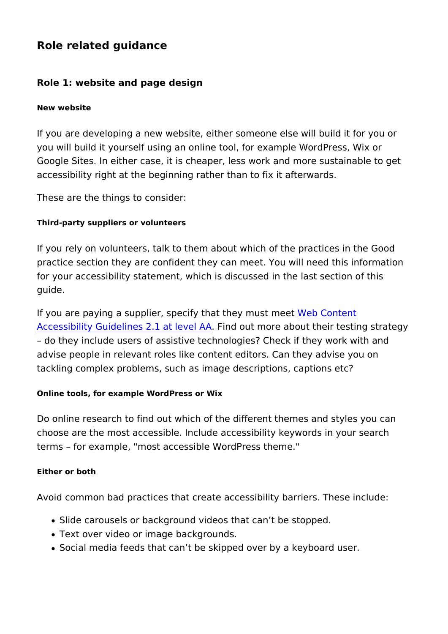Role related guidance

Role 1: website and page design

New website

If you are developing a new website, either someone else will b you will build it yourself using an online tool, for example Word Google Sites. In either case, it is cheaper, less work and more accessibility right at the beginning rather than to fix it afterwa

These are the things to consider:

Third-party suppliers or volunteers

If you rely on volunteers, talk to them about which of the practi practice section they are confident they can meet. You will nee for your accessibility statement, which is discussed in the last guide.

If you are paying a supplier, specify that Witch the  $\mathcal C$  on the set [Accessibility Guidelines 2.](https://www.w3.org/WAI/WCAG21/quickref/?versions=2.1)1  $\overline{a}$  ind  $\overline{a}$  wealt Am A ore about their testing s

do they include users of assistive technologies? Check if they advise people in relevant roles like content editors. Can they a tackling complex problems, such as image descriptions, caption

Online tools, for example WordPress or Wix

Do online research to find out which of the different themes and choose are the most accessible. Include accessibility keywords terms for example, "most accessible WordPress theme."

Either or both

Avoid common bad practices that create accessibility barriers.

- Slide carousels or background videos that can t be stopped.
- Text over video or image backgrounds.
- Social media feeds that can t be skipped over by a keyboard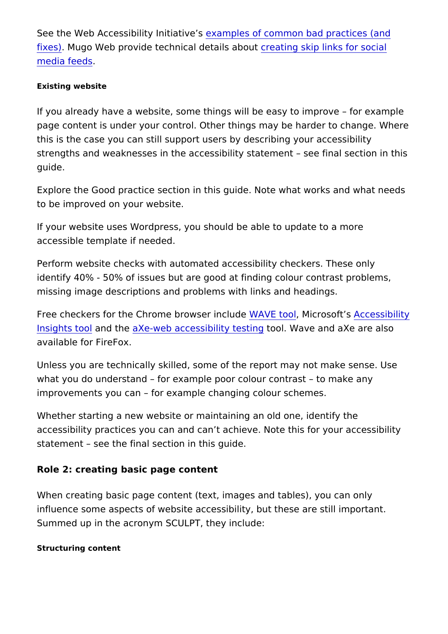See the Web Accessibility dnatmatlieve of common bad practices (a [fixe](https://www.w3.org/WAI/demos/bad/)s) Mugo Web provide technical derteation about the social [media fe](https://www.mugo.ca/Blog/Building-an-accessible-website-in-page-navigation)eds .

Existing website

If you already have a website, some things will be easy to impr page content is under your control. Other things may be harder this is the case you can still support users by describing your a strengths and weaknesses in the accessibility statement see f guide.

Explore the Good practice section in this guide. Note what work to be improved on your website.

If your website uses Wordpress, you should be able to update t accessible template if needed.

Perform website checks with automated accessibility checkers. identify 40% - 50% of issues but are good at finding colour con missing image descriptions and problems with links and headings.

Free checkers for the Chrome brow & & Eincconduicteroson Atcosessibility [Insights](https://chrome.google.com/webstore/detail/accessibility-insights-fo/pbjjkligggfmakdaogkfomddhfmpjeni) tand the e-web accessibility to a batilly ave and axe are also available for FireFox.

Unless you are technically skilled, some of the report may not may what you do understand for example poor colour contrast to improvements you can for example changing colour schemes.

Whether starting a new website or maintaining an old one, ident accessibility practices you can and can t achieve. Note this for statement see the final section in this guide.

Role 2: creating basic page content

When creating basic page content (text, images and tables), yo influence some aspects of website accessibility, but these are : Summed up in the acronym SCULPT, they include:

Structuring content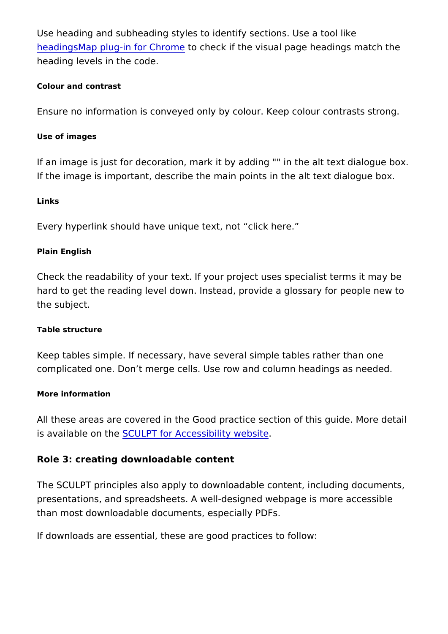Use heading and subheading styles to identify sections. Use a t headings Map plug-in fort  $C$  *chome*  $\kappa$  if the visual page headings ma heading levels in the code.

Colour and contrast

Ensure no information is conveyed only by colour. Keep colour

Use of images

If an image is just for decoration, mark it by adding "" in the al If the image is important, describe the main points in the alt te

Links

Every hyperlink should have unique text, not click here.

Plain English

Check the readability of your text. If your project uses speciali hard to get the reading level down. Instead, provide a glossary the subject.

Table structure

Keep tables simple. If necessary, have several simple tables ra complicated one. Don t merge cells. Use row and column headin

More information

All these areas are covered in the Good practice section of this is available os CUULPT for Accessibility website

Role 3: creating downloadable content

The SCULPT principles also apply to downloadable content, inc presentations, and spreadsheets. A well-designed webpage is m than most downloadable documents, especially PDFs.

If downloads are essential, these are good practices to follow: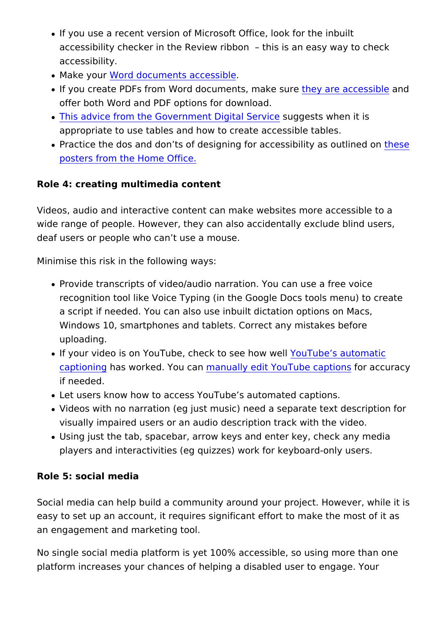- If you use a recent version of Microsoft Office, look for the accessibility checker in the Review ribbon this is an easy accessibility.
- Make yow ord documents accessible
- . If you create PDFs from Word documents, make ease reashed be offer both Word and PDF options for download.
- [This advice from the Government D](https://www.gov.uk/guidance/content-design/tables)isguig gests rwineen it is appropriate to use tables and how to create accessible table
- Practice the dos and don ts of designing for accesshibsity as [posters from the Hom](https://ukhomeoffice.github.io/accessibility-posters/posters/accessibility-posters.pdf)e Office.

Role 4: creating multimedia content

Videos, audio and interactive content can make websites more a wide range of people. However, they can also accidentally exclude blind users, the value of people. deaf users or people who can t use a mouse.

Minimise this risk in the following ways:

- Provide transcripts of video/audio narration. You can use a recognition tool like Voice Typing (in the Google Docs tools a script if needed. You can also use inbuilt dictation option Windows 10, smartphones and tablets. Correct any mistakes uploading.
- $\bullet$  If your video is on YouTube, check to set the well matic [caption](https://support.google.com/youtube/answer/6373554)imas worked. Yomachamally edit YouTube tamptaions racy if needed.
- Let users know how to access YouTube s automated captions.
- Videos with no narration (eg just music) need a separate text visually impaired users or an audio description track with th
- Using just the tab, spacebar, arrow keys and enter key, che players and interactivities (eg quizzes) work for keyboard-o

Role 5: social media

Social media can help build a community around your project. H easy to set up an account, it requires significant effort to make an engagement and marketing tool.

No single social media platform is yet 100% accessible, so usin platform increases your chances of helping a disabled user to e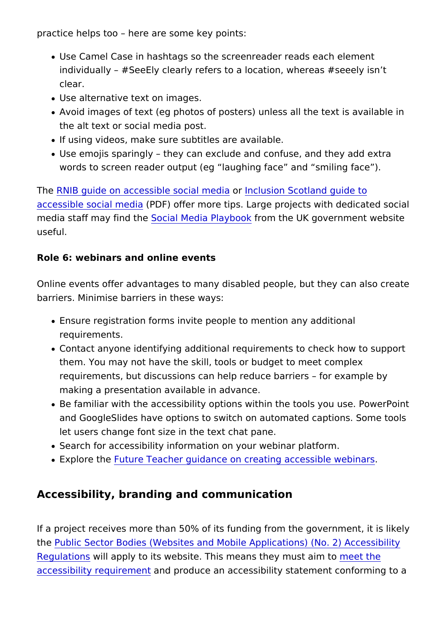practice helps too here are some key points:

- Use Camel Case in hashtags so the screenreader reads each individually #SeeEly clearly refers to a location, whereas clear.
- Use alternative text on images.
- Avoid images of text (eg photos of posters) unless all the te the alt text or social media post.
- . If using videos, make sure subtitles are available.
- Use emojis sparingly they can exclude and confuse, and the words to screen reader output (eg laughing face and smili

Th[e RNIB guide on accessible s](https://www.rnib.org.uk/rnibconnect/technology/making-your-social-media-accessible)coodination seigoina Scotland guide to [accessible socia](https://inclusionscotland.org/wp-content/uploads/2019/02/Accessible-Social-Media-Guide-2019.pdf)l ( $\mathbb{R}$  D $\mathbb{F}$ i) a offer more tips. Large projects with ded media staff may find the Media Platyr hom the UK government webs useful.

Role 6: webinars and online events

Online events offer advantages to many disabled people, but th barriers. Minimise barriers in these ways:

- Ensure registration forms invite people to mention any addit requirements.
- Contact anyone identifying additional requirements to check them. You may not have the skill, tools or budget to meet com requirements, but discussions can help reduce barriers for making a presentation available in advance.
- . Be familiar with the accessibility options within the tools yo and GoogleSlides have options to switch on automated captions. let users change font size in the text chat pane.
- . Search for accessibility information on your webinar platfor
- . Explore the ture Teacher guidance on creating accessible well

Accessibility, branding and communication

If a project receives more than  $50\%$  of its funding from the gove th[e Public Sector Bodies \(Websites and Mobile Applicatio](http://www.legislation.gov.uk/uksi/2018/952/made)ns) (No. [Regulati](http://www.legislation.gov.uk/uksi/2018/952/made)ons is apply to its website. This means the pet must aim to [accessibility requ](https://www.w3.org/TR/WCAG21/)iment epitoduce an accessibility statement conforming to a statement conformation and to an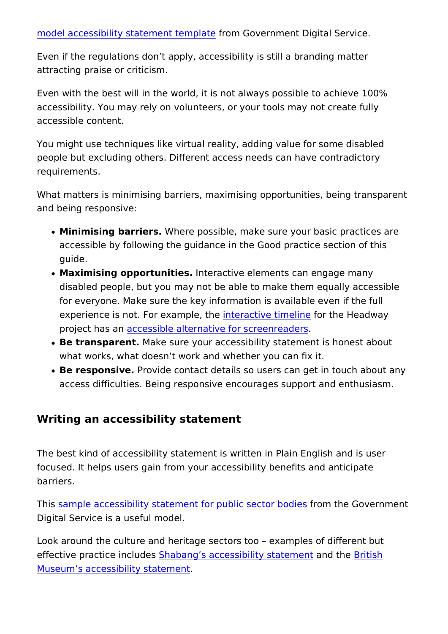[model accessibility stateme](https://www.gov.uk/government/publications/sample-accessibility-statement/sample-accessibility-statement-for-a-fictional-public-sector-website)nt to  $\mathfrak{g}$  loave rn ment Digital Service.

Even if the regulations don t apply, accessibility is still a bran attracting praise or criticism.

Even with the best will in the world, it is not always possible to accessibility. You may rely on volunteers, or your tools may no accessible content.

You might use techniques like virtual reality, adding value for s people but excluding others. Different access needs can have c requirements.

What matters is minimising barriers, maximising opportunities, and being responsive:

- Minimising barrie Where possible, make sure your basic pract accessible by following the guidance in the Good practice set guide.
- Maximising opportunitlinetseractive elements can engage many disabled people, but you may not be able to make them equa for everyone. Make sure the key information is available even experience is not. For examit plreactive time time the Headway project has a can essible alternative for screenreaders
- . Be transparenMake sure your accessibility statement is hone what works, what doesn t work and whether you can fix it.
- Be responsiverovide contact details so users can get in toud access difficulties. Being responsive encourages support an

Writing an accessibility statement

The best kind of accessibility statement is written in Plain Engl focused. It helps users gain from your accessibility benefits an barriers.

This ample accessibility statement for publifor osme othour Godieers ment Digital Service is a useful model.

Look around the culture and heritage sectors too examples of effective practice i**8 blaudeers**g s accessibility satmade the Bernitish [Museum s accessibility](https://www.britishmuseum.org/accessibility-statement) statement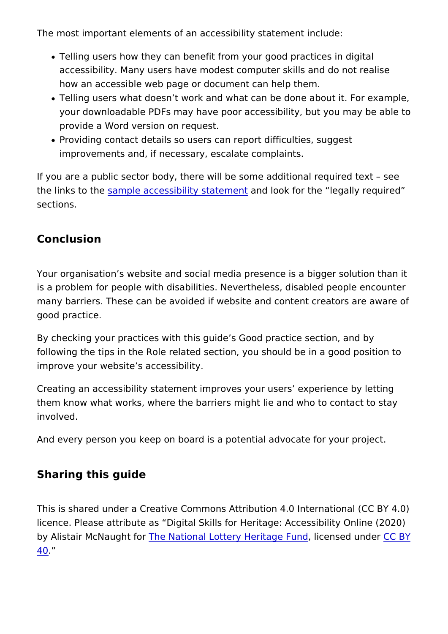The most important elements of an accessibility statement inclu

- Telling users how they can benefit from your good practices accessibility. Many users have modest computer skills and c how an accessible web page or document can help them.
- Telling users what doesn t work and what can be done about your downloadable PDFs may have poor accessibility, but you provide a Word version on request.
- Providing contact details so users can report difficulties, su improvements and, if necessary, escalate complaints.

If you are a public sector body, there will be some additional  $r \in \mathbb{R}$ the links to sammeple accessibility stannielmine to rithe legally required sections.

Conclusion

Your organisation s website and social media presence is a big is a problem for people with disabilities. Nevertheless, disabled many barriers. These can be avoided if website and content cre good practice.

By checking your practices with this guide s Good practice sect following the tips in the Role related section, you should be in improve your website s accessibility.

Creating an accessibility statement improves your users experi them know what works, where the barriers might lie and who to involved.

And every person you keep on board is a potential advocate for

Sharing this guide

This is shared under a Creative Commons Attribution 4.0 Intern licence. Please attribute as Digital Skills for Heritage: Access by Alistair McNaunhe for ational Lottery Heritalgoen Fauend [under](https://creativecommons.org/licenses/by/4.0/) BY [40](https://creativecommons.org/licenses/by/4.0/).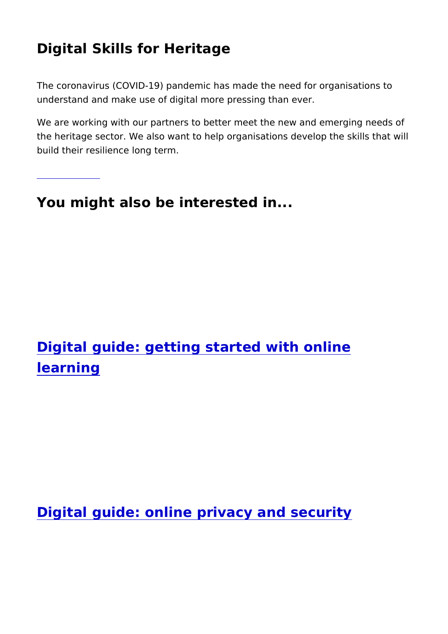# Digital Skills for Heritage

[Find out m](https://www.heritagefund.org.uk/node/110606)ore

The coronavirus (COVID-19) pandemic has made the need for or understand and make use of digital more pressing than ever.

We are working with our partners to better meet the new and em the heritage sector. We also want to help organisations develop build their resilience long term.

You might also be interested in...

Digital guide: getting started with online learning

Digital guide: online privacy and security